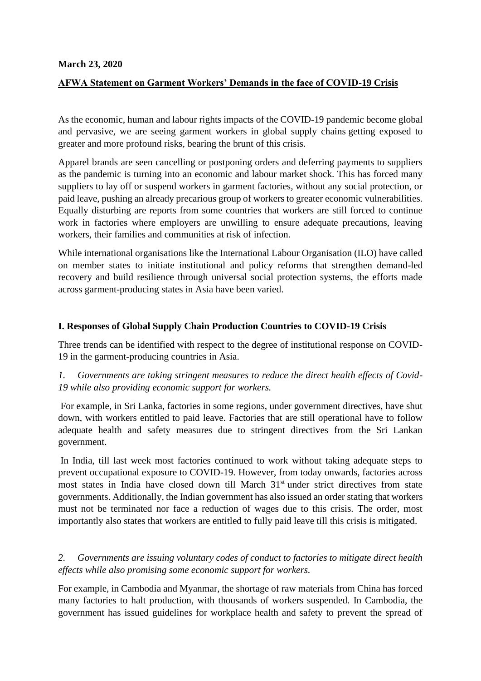#### **March 23, 2020**

## **AFWA Statement on Garment Workers' Demands in the face of COVID-19 Crisis**

As the economic, human and labour rights impacts of the COVID-19 pandemic become global and pervasive, we are seeing garment workers in global supply chains getting exposed to greater and more profound risks, bearing the brunt of this crisis.

Apparel brands are seen cancelling or postponing orders and deferring payments to suppliers as the pandemic is turning into an economic and labour market shock. This has forced many suppliers to lay off or suspend workers in garment factories, without any social protection, or paid leave, pushing an already precarious group of workers to greater economic vulnerabilities. Equally disturbing are reports from some countries that workers are still forced to continue work in factories where employers are unwilling to ensure adequate precautions, leaving workers, their families and communities at risk of infection.

While international organisations like the International Labour Organisation (ILO) have called on member states to initiate institutional and policy reforms that strengthen demand-led recovery and build resilience through universal social protection systems, the efforts made across garment-producing states in Asia have been varied.

#### **I. Responses of Global Supply Chain Production Countries to COVID-19 Crisis**

Three trends can be identified with respect to the degree of institutional response on COVID-19 in the garment-producing countries in Asia.

*1. Governments are taking stringent measures to reduce the direct health effects of Covid-19 while also providing economic support for workers.*

For example, in Sri Lanka, factories in some regions, under government directives, have shut down, with workers entitled to paid leave. Factories that are still operational have to follow adequate health and safety measures due to stringent directives from the Sri Lankan government.

In India, till last week most factories continued to work without taking adequate steps to prevent occupational exposure to COVID-19. However, from today onwards, factories across most states in India have closed down till March 31<sup>st</sup> under strict directives from state governments. Additionally, the Indian government has also issued an order stating that workers must not be terminated nor face a reduction of wages due to this crisis. The order, most importantly also states that workers are entitled to fully paid leave till this crisis is mitigated.

#### *2. Governments are issuing voluntary codes of conduct to factories to mitigate direct health effects while also promising some economic support for workers.*

For example, in Cambodia and Myanmar, the shortage of raw materials from China has forced many factories to halt production, with thousands of workers suspended. In Cambodia, the government has issued guidelines for workplace health and safety to prevent the spread of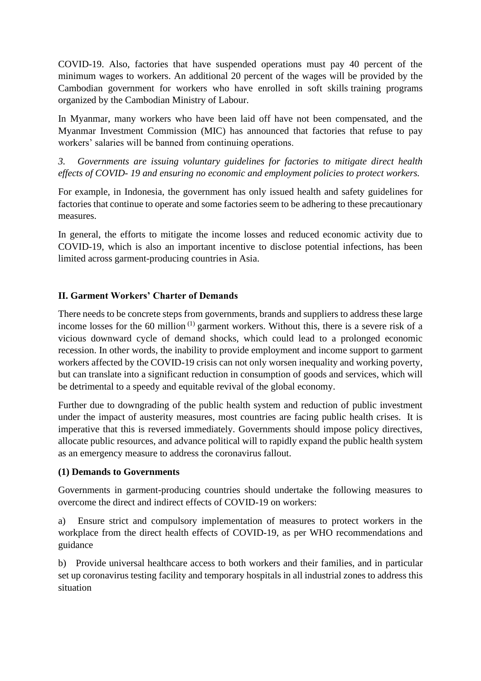COVID-19. Also, factories that have suspended operations must pay 40 percent of the minimum wages to workers. An additional 20 percent of the wages will be provided by the Cambodian government for workers who have enrolled in soft skills training programs organized by the Cambodian Ministry of Labour.

In Myanmar, many workers who have been laid off have not been compensated, and the Myanmar Investment Commission (MIC) has announced that factories that refuse to pay workers' salaries will be banned from continuing operations.

*3. Governments are issuing voluntary guidelines for factories to mitigate direct health effects of COVID- 19 and ensuring no economic and employment policies to protect workers.*

For example, in Indonesia, the government has only issued health and safety guidelines for factories that continue to operate and some factories seem to be adhering to these precautionary measures.

In general, the efforts to mitigate the income losses and reduced economic activity due to COVID-19, which is also an important incentive to disclose potential infections, has been limited across garment-producing countries in Asia.

# **II. Garment Workers' Charter of Demands**

There needs to be concrete steps from governments, brands and suppliers to address these large income losses for the 60 million<sup>(1)</sup> garment workers. Without this, there is a severe risk of a vicious downward cycle of demand shocks, which could lead to a prolonged economic recession. In other words, the inability to provide employment and income support to garment workers affected by the COVID-19 crisis can not only worsen inequality and working poverty, but can translate into a significant reduction in consumption of goods and services, which will be detrimental to a speedy and equitable revival of the global economy.

Further due to downgrading of the public health system and reduction of public investment under the impact of austerity measures, most countries are facing public health crises. It is imperative that this is reversed immediately. Governments should impose policy directives, allocate public resources, and advance political will to rapidly expand the public health system as an emergency measure to address the coronavirus fallout.

## **(1) Demands to Governments**

Governments in garment-producing countries should undertake the following measures to overcome the direct and indirect effects of COVID-19 on workers:

a) Ensure strict and compulsory implementation of measures to protect workers in the workplace from the direct health effects of COVID-19, as per WHO recommendations and guidance

b) Provide universal healthcare access to both workers and their families, and in particular set up coronavirus testing facility and temporary hospitals in all industrial zones to address this situation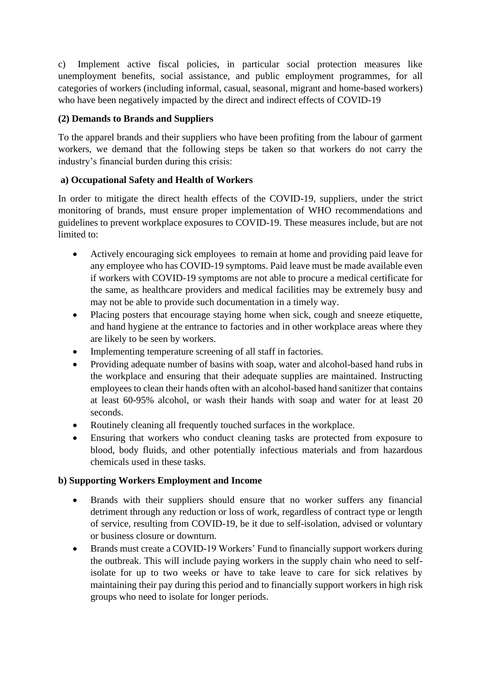c) Implement active fiscal policies, in particular social protection measures like unemployment benefits, social assistance, and public employment programmes, for all categories of workers (including informal, casual, seasonal, migrant and home-based workers) who have been negatively impacted by the direct and indirect effects of COVID-19

# **(2) Demands to Brands and Suppliers**

To the apparel brands and their suppliers who have been profiting from the labour of garment workers, we demand that the following steps be taken so that workers do not carry the industry's financial burden during this crisis:

# **a) Occupational Safety and Health of Workers**

In order to mitigate the direct health effects of the COVID-19, suppliers, under the strict monitoring of brands, must ensure proper implementation of WHO recommendations and guidelines to prevent workplace exposures to COVID-19. These measures include, but are not limited to:

- Actively encouraging sick employees to remain at home and providing paid leave for any employee who has COVID-19 symptoms. Paid leave must be made available even if workers with COVID-19 symptoms are not able to procure a medical certificate for the same, as healthcare providers and medical facilities may be extremely busy and may not be able to provide such documentation in a timely way.
- Placing posters that encourage staving home when sick, cough and sneeze etiquette, and hand hygiene at the entrance to factories and in other workplace areas where they are likely to be seen by workers.
- Implementing temperature screening of all staff in factories.
- Providing adequate number of basins with soap, water and alcohol-based hand rubs in the workplace and ensuring that their adequate supplies are maintained. Instructing employees to clean their hands often with an alcohol-based hand sanitizer that contains at least 60-95% alcohol, or wash their hands with soap and water for at least 20 seconds.
- Routinely cleaning all frequently touched surfaces in the workplace.
- Ensuring that workers who conduct cleaning tasks are protected from exposure to blood, body fluids, and other potentially infectious materials and from hazardous chemicals used in these tasks.

## **b) Supporting Workers Employment and Income**

- Brands with their suppliers should ensure that no worker suffers any financial detriment through any reduction or loss of work, regardless of contract type or length of service, resulting from COVID-19, be it due to self-isolation, advised or voluntary or business closure or downturn.
- Brands must create a COVID-19 Workers' Fund to financially support workers during the outbreak. This will include paying workers in the supply chain who need to selfisolate for up to two weeks or have to take leave to care for sick relatives by maintaining their pay during this period and to financially support workers in high risk groups who need to isolate for longer periods.